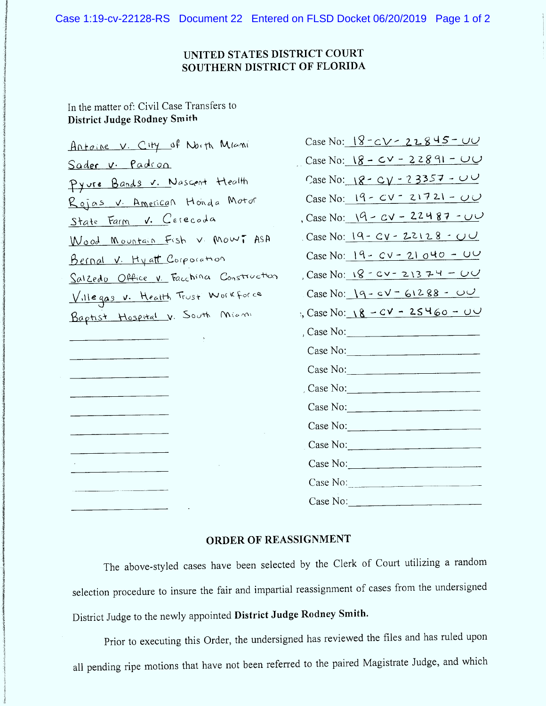Case 1:19-cv-22128-RS Document 22 Entered on FLSD Docket 06/20/2019 Page 1 of 2

## **UNITED STATES DISTRICT COURT** SOUTHERN DISTRICT OF FLORIDA

In the matter of: Civil Case Transfers to District Judge Rodney Smith

Antoine V. City of North Miami Sader v. Padron Pyure Bands v. Nascent Health Rojas v. American Honda Motor State Farm V. Cerecoda Wood Mountain Fish v Mowi ASA Bernal V. Hyatt Corporation Salzedo Office v. Facchina Construction Villegas v. Health Trust Workforce Baptist Hospital v. South Miami

| Case No: <u>18 - c v - 22845 - u v</u> |
|----------------------------------------|
| Case No: $8 - 60 - 22891 - 00$         |
| Case No: $8 - C\gamma - 23357 - 0$     |
| Case No: $19 - CV - 21721 - 00$        |
| , Case No: $19 - 22487 - 00$           |
| Case No: $19 - CV - 22128 - 11$        |
| Case No: $19 - CV - 21040 - U$         |
| Case No: $\sqrt{8}$ - CV - 2\3 74 - 00 |
| $Case No: 19 - cV - 61288 - 00$        |
| :, Case No: $18 - CV - 25460 - UU$     |
| , Case No: $\qquad \qquad$             |
| Case No:                               |
| Case No:                               |
| Case No: $\qquad \qquad$               |
| Case No:                               |
| Case No:                               |
| Case No: $\qquad \qquad$               |
| Case No:                               |
| Case No:                               |
| Case No: $\qquad \qquad$               |

## ORDER OF REASSIGNMENT

The above-styled cases have been selected by the Clerk of Court utilizing a random selection procedure to insure the fair and impartial reassignment of cases from the undersigned District Judge to the newly appointed District Judge Rodney Smith.

Prior to executing this Order, the undersigned has reviewed the files and has ruled upon all pending ripe motions that have not been referred to the paired Magistrate Judge, and which